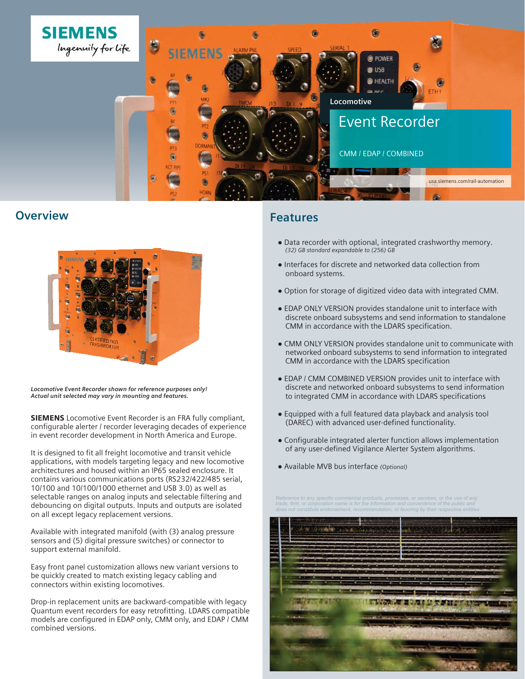

## **Overview**



*Locomotive Event Recorder shown for reference purposes only! Actual unit selected may vary in mounting and features.*

SIEMENS Locomotive Event Recorder is an FRA fully compliant, configurable alerter / recorder leveraging decades of experience in event recorder development in North America and Europe.

It is designed to fit all freight locomotive and transit vehicle applications, with models targeting legacy and new locomotive architectures and housed within an IP65 sealed enclosure. It contains various communications ports (RS232/422/485 serial, 10/100 and 10/100/1000 ethernet and USB 3.0) as well as selectable ranges on analog inputs and selectable filtering and debouncing on digital outputs. Inputs and outputs are isolated on all except legacy replacement versions.

Available with integrated manifold (with (3) analog pressure sensors and (5) digital pressure switches) or connector to support external manifold.

Easy front panel customization allows new variant versions to be quickly created to match existing legacy cabling and connectors within existing locomotives.

Drop-in replacement units are backward-compatible with legacy Quantum event recorders for easy retrofitting. LDARS compatible models are configured in EDAP only, CMM only, and EDAP / CMM combined versions.

## **Features**

- Data recorder with optional, integrated crashworthy memory. *(32) GB standard expandable to (256) GB*
- Interfaces for discrete and networked data collection from onboard systems.
- Option for storage of digitized video data with integrated CMM.
- EDAP ONLY VERSION provides standalone unit to interface with discrete onboard subsystems and send information to standalone CMM in accordance with the LDARS specification.
- CMM ONLY VERSION provides standalone unit to communicate with networked onboard subsystems to send information to integrated CMM in accordance with the LDARS specification
- EDAP / CMM COMBINED VERSION provides unit to interface with discrete and networked onboard subsystems to send information to integrated CMM in accordance with LDARS specifications
- Equipped with a full featured data playback and analysis tool (DAREC) with advanced user-defined functionality.
- Configurable integrated alerter function allows implementation of any user-defined Vigilance Alerter System algorithms.
- Available MVB bus interface *(Optional)*

*Reference to any specific commercial products, processes, or services, or the use of any trade, firm, or corporation name is for the information and convenience of the public and does not constitute endorsement, recommendation, or favoring by their respective entities*